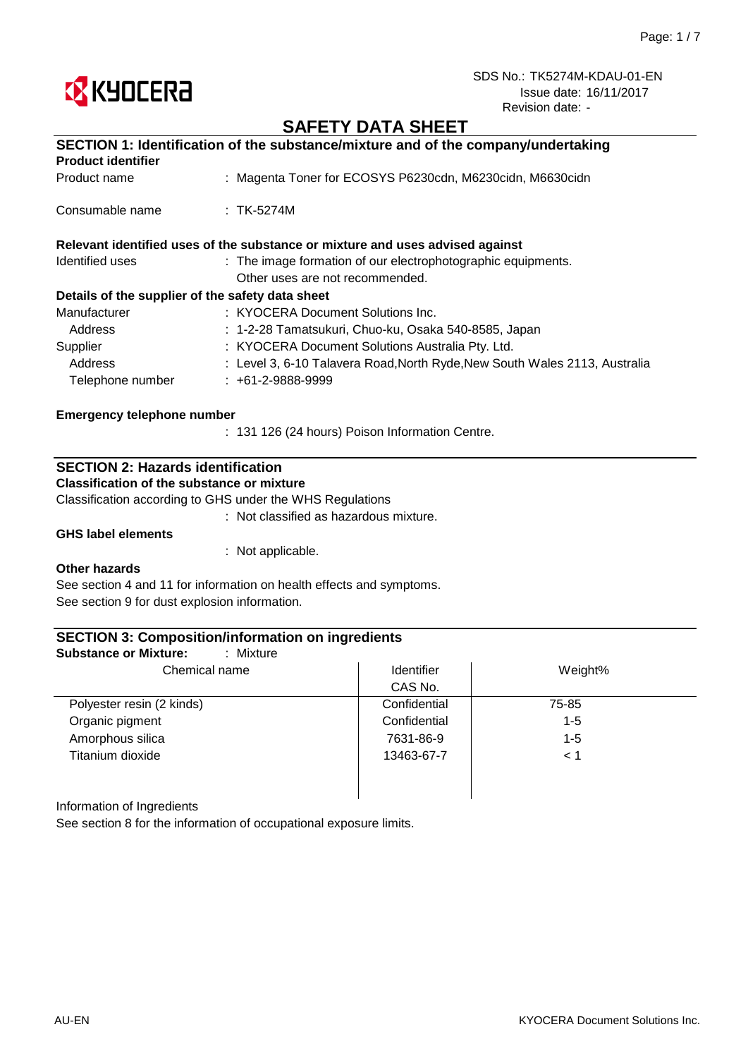

# **SAFETY DATA SHEET**

| SECTION 1: Identification of the substance/mixture and of the company/undertaking |                                                                               |  |  |
|-----------------------------------------------------------------------------------|-------------------------------------------------------------------------------|--|--|
| <b>Product identifier</b>                                                         |                                                                               |  |  |
| Product name                                                                      | : Magenta Toner for ECOSYS P6230cdn, M6230cidn, M6630cidn                     |  |  |
| Consumable name                                                                   | $:$ TK-5274M                                                                  |  |  |
|                                                                                   | Relevant identified uses of the substance or mixture and uses advised against |  |  |
| Identified uses                                                                   | : The image formation of our electrophotographic equipments.                  |  |  |
|                                                                                   | Other uses are not recommended.                                               |  |  |
| Details of the supplier of the safety data sheet                                  |                                                                               |  |  |
| Manufacturer                                                                      | : KYOCERA Document Solutions Inc.                                             |  |  |
| Address                                                                           | : 1-2-28 Tamatsukuri, Chuo-ku, Osaka 540-8585, Japan                          |  |  |
| Supplier                                                                          | : KYOCERA Document Solutions Australia Pty. Ltd.                              |  |  |
| Address                                                                           | : Level 3, 6-10 Talavera Road, North Ryde, New South Wales 2113, Australia    |  |  |
| Telephone number                                                                  | $: +61-2-9888-9999$                                                           |  |  |
| <b>Emergency telephone number</b>                                                 |                                                                               |  |  |
|                                                                                   | : 131 126 (24 hours) Poison Information Centre.                               |  |  |

## **SECTION 2: Hazards identification**

**Classification of the substance or mixture**

Classification according to GHS under the WHS Regulations

: Not classified as hazardous mixture.

**GHS label elements**

: Not applicable.

#### **Other hazards**

See section 4 and 11 for information on health effects and symptoms. See section 9 for dust explosion information.

### **SECTION 3: Composition/information on ingredients**

| : Mixture<br><b>Substance or Mixture:</b> |                   |          |
|-------------------------------------------|-------------------|----------|
| Chemical name                             | <b>Identifier</b> | Weight%  |
|                                           | CAS No.           |          |
| Polyester resin (2 kinds)                 | Confidential      | 75-85    |
| Organic pigment                           | Confidential      | $1 - 5$  |
| Amorphous silica                          | 7631-86-9         | $1 - 5$  |
| Titanium dioxide                          | 13463-67-7        | $\leq 1$ |
|                                           |                   |          |

Information of Ingredients

See section 8 for the information of occupational exposure limits.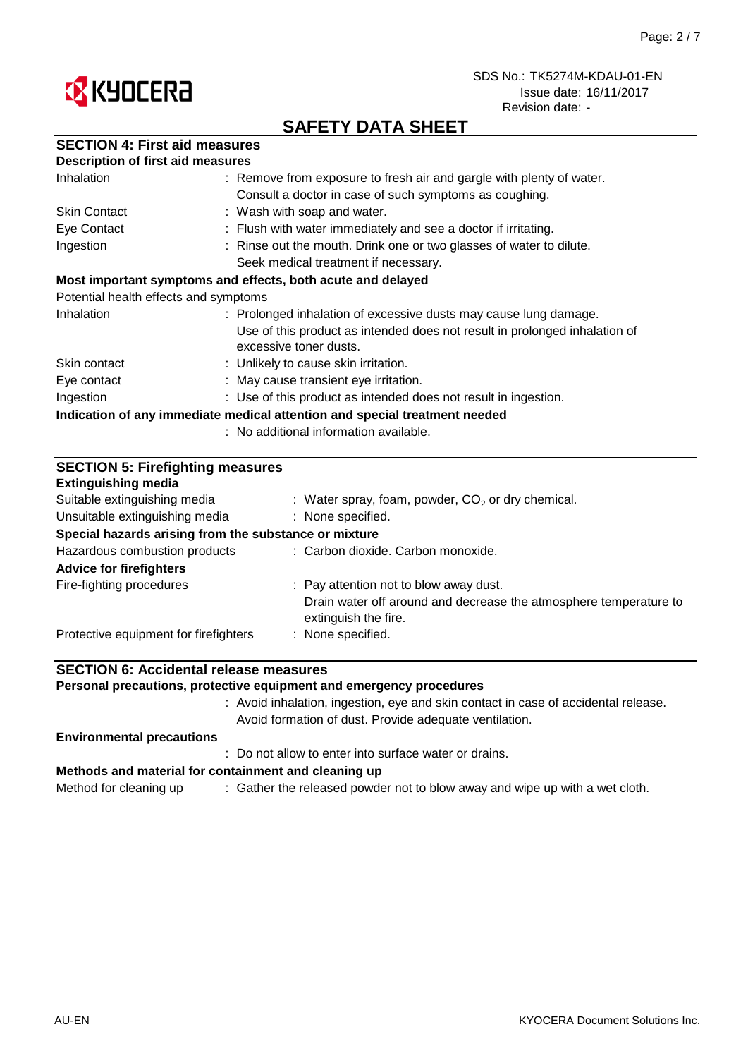



# **SAFETY DATA SHEET**

|  |  | <b>SECTION 4: First aid measures</b> |
|--|--|--------------------------------------|
|--|--|--------------------------------------|

| <b>Description of first aid measures</b>                                   |                                                                                                      |  |  |
|----------------------------------------------------------------------------|------------------------------------------------------------------------------------------------------|--|--|
| Inhalation                                                                 | : Remove from exposure to fresh air and gargle with plenty of water.                                 |  |  |
|                                                                            | Consult a doctor in case of such symptoms as coughing.                                               |  |  |
| <b>Skin Contact</b>                                                        | : Wash with soap and water.                                                                          |  |  |
| Eye Contact                                                                | : Flush with water immediately and see a doctor if irritating.                                       |  |  |
| Ingestion                                                                  | : Rinse out the mouth. Drink one or two glasses of water to dilute.                                  |  |  |
|                                                                            | Seek medical treatment if necessary.                                                                 |  |  |
| Most important symptoms and effects, both acute and delayed                |                                                                                                      |  |  |
| Potential health effects and symptoms                                      |                                                                                                      |  |  |
| Inhalation                                                                 | : Prolonged inhalation of excessive dusts may cause lung damage.                                     |  |  |
|                                                                            | Use of this product as intended does not result in prolonged inhalation of<br>excessive toner dusts. |  |  |
| Skin contact                                                               | : Unlikely to cause skin irritation.                                                                 |  |  |
| Eye contact                                                                | : May cause transient eye irritation.                                                                |  |  |
| Ingestion                                                                  | : Use of this product as intended does not result in ingestion.                                      |  |  |
| Indication of any immediate medical attention and special treatment needed |                                                                                                      |  |  |
|                                                                            | : No additional information available.                                                               |  |  |

| <b>SECTION 5: Firefighting measures</b><br><b>Extinguishing media</b> |                                                                                           |  |  |
|-----------------------------------------------------------------------|-------------------------------------------------------------------------------------------|--|--|
| Suitable extinguishing media                                          | : Water spray, foam, powder, $CO2$ or dry chemical.                                       |  |  |
| Unsuitable extinguishing media                                        | : None specified.                                                                         |  |  |
| Special hazards arising from the substance or mixture                 |                                                                                           |  |  |
| Hazardous combustion products                                         | : Carbon dioxide. Carbon monoxide.                                                        |  |  |
| <b>Advice for firefighters</b>                                        |                                                                                           |  |  |
| Fire-fighting procedures                                              | : Pay attention not to blow away dust.                                                    |  |  |
|                                                                       | Drain water off around and decrease the atmosphere temperature to<br>extinguish the fire. |  |  |
| Protective equipment for firefighters                                 | : None specified.                                                                         |  |  |

## **SECTION 6: Accidental release measures**

**Personal precautions, protective equipment and emergency procedures**

: Avoid inhalation, ingestion, eye and skin contact in case of accidental release. Avoid formation of dust. Provide adequate ventilation.

#### **Environmental precautions**

: Do not allow to enter into surface water or drains.

#### **Methods and material for containment and cleaning up**

Method for cleaning up  $\qquad \qquad :$  Gather the released powder not to blow away and wipe up with a wet cloth.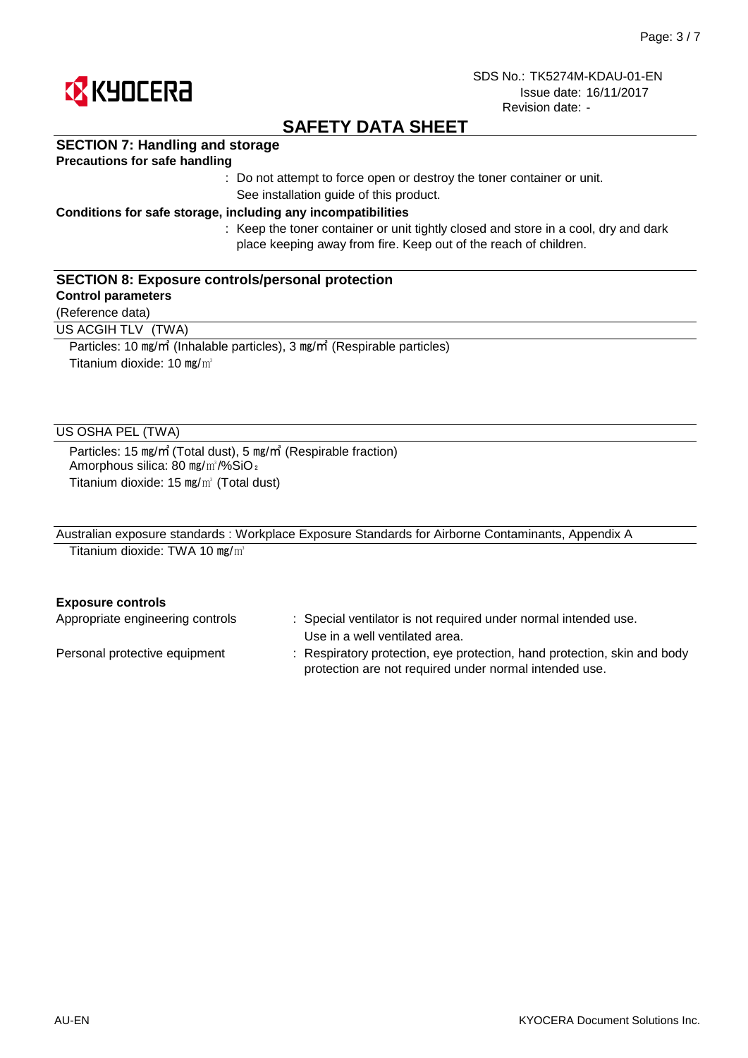

# **SAFETY DATA SHEET**

## **SECTION 7: Handling and storage**

### **Precautions for safe handling**

: Do not attempt to force open or destroy the toner container or unit. See installation guide of this product.

### **Conditions for safe storage, including any incompatibilities**

: Keep the toner container or unit tightly closed and store in a cool, dry and dark place keeping away from fire. Keep out of the reach of children.

### **SECTION 8: Exposure controls/personal protection**

### **Control parameters**

(Reference data)

US ACGIH TLV (TWA)

Particles: 10 ㎎/㎥ (Inhalable particles), 3 ㎎/㎥ (Respirable particles) Titanium dioxide: 10 mg/m<sup>3</sup>

### US OSHA PEL (TWA)

Particles: 15 ㎎/㎥ (Total dust), 5 ㎎/㎥ (Respirable fraction) Amorphous silica: 80 mg/m<sup>3</sup>/%SiO<sub>2</sub> Titanium dioxide: 15 ㎎/㎥ (Total dust)

| Australian exposure standards: Workplace Exposure Standards for Airborne Contaminants, Appendix A |  |
|---------------------------------------------------------------------------------------------------|--|
| Titanium dioxide: TWA 10 mg/ $m^3$                                                                |  |

#### **Exposure controls**

| Appropriate engineering controls | : Special ventilator is not required under normal intended use.<br>Use in a well ventilated area.                                  |
|----------------------------------|------------------------------------------------------------------------------------------------------------------------------------|
| Personal protective equipment    | : Respiratory protection, eye protection, hand protection, skin and body<br>protection are not required under normal intended use. |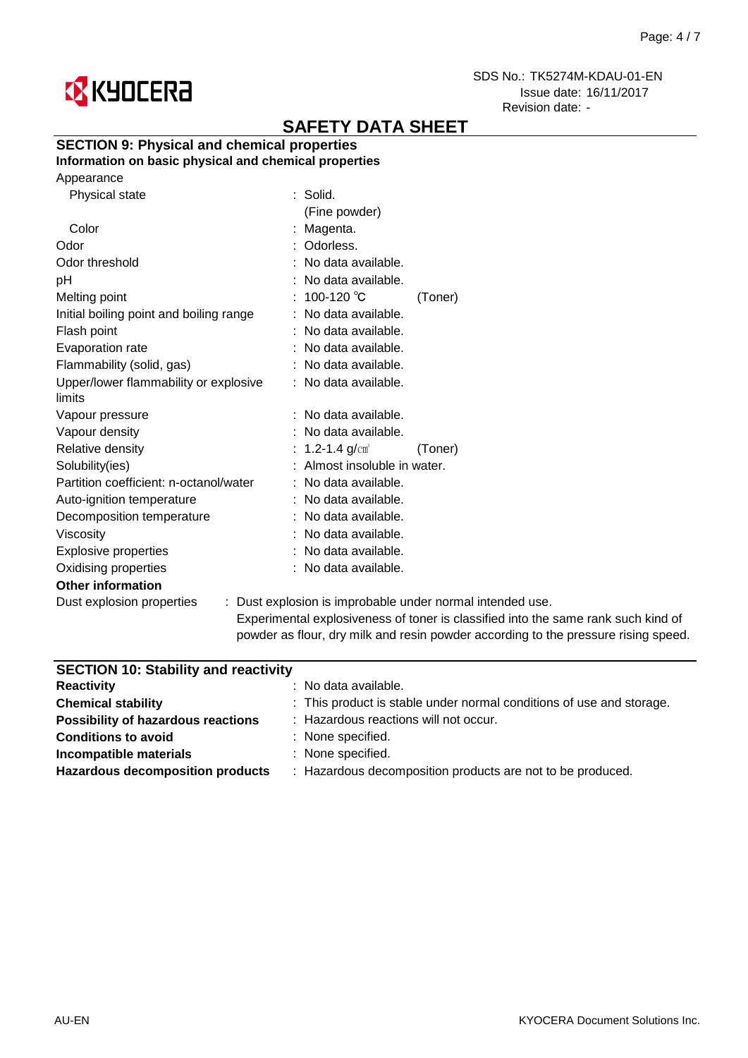

# **SAFETY DATA SHEET**

## **SECTION 9: Physical and chemical properties**

## **Information on basic physical and chemical properties**

| Physical state                          | $\therefore$ Solid.                            |  |
|-----------------------------------------|------------------------------------------------|--|
|                                         | (Fine powder)                                  |  |
| Color                                   | : Magenta.                                     |  |
| Odor                                    | Odorless.                                      |  |
| Odor threshold                          | : No data available.                           |  |
| рH                                      | : No data available.                           |  |
| Melting point                           | : 100-120 ℃<br>(Toner)                         |  |
| Initial boiling point and boiling range | : No data available.                           |  |
| Flash point                             | : No data available.                           |  |
| Evaporation rate                        | No data available.                             |  |
| Flammability (solid, gas)               | : No data available.                           |  |
| Upper/lower flammability or explosive   | : No data available.                           |  |
| limits                                  |                                                |  |
| Vapour pressure                         | No data available.                             |  |
| Vapour density                          | No data available.                             |  |
| Relative density                        | : 1.2-1.4 $g/cm^{3}$<br>(Toner)                |  |
| Solubility(ies)                         | Almost insoluble in water.                     |  |
| Partition coefficient: n-octanol/water  | : No data available.                           |  |
| Auto-ignition temperature               | No data available.                             |  |
| Decomposition temperature               | : No data available.                           |  |
| Viscosity                               | : No data available.                           |  |
| <b>Explosive properties</b>             | : No data available.                           |  |
| Oxidising properties                    | : No data available.                           |  |
| <b>Other information</b>                |                                                |  |
| Dust explosion properties               | : Dust explosion is improbable under normal in |  |
|                                         |                                                |  |

ntended use. Experimental explosiveness of toner is classified into the same rank such kind of powder as flour, dry milk and resin powder according to the pressure rising speed.

| <b>SECTION 10: Stability and reactivity</b> |                                                                      |  |
|---------------------------------------------|----------------------------------------------------------------------|--|
| <b>Reactivity</b>                           | $:$ No data available.                                               |  |
| <b>Chemical stability</b>                   | : This product is stable under normal conditions of use and storage. |  |
| <b>Possibility of hazardous reactions</b>   | : Hazardous reactions will not occur.                                |  |
| <b>Conditions to avoid</b>                  | : None specified.                                                    |  |
| Incompatible materials                      | : None specified.                                                    |  |
| <b>Hazardous decomposition products</b>     | : Hazardous decomposition products are not to be produced.           |  |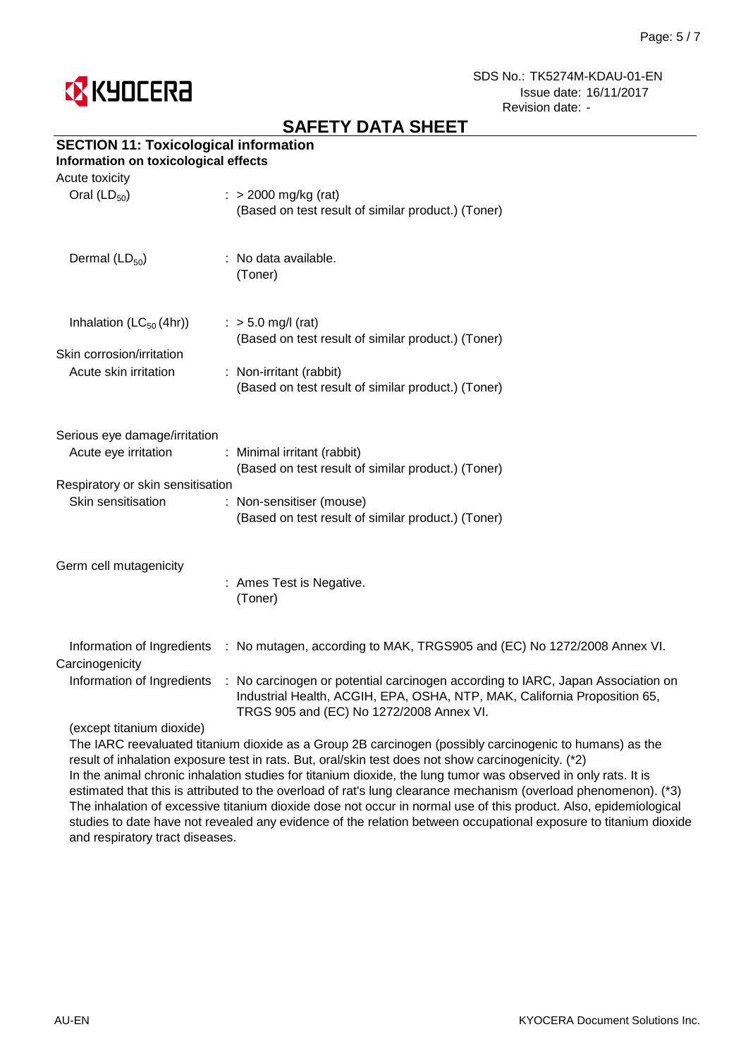

# **SAFETY DATA SHEET**

# **SECTION 11: Toxicological information**

## **Information on toxicological effects**

| Acute toxicity<br>Oral $(LD_{50})$            | $\therefore$ > 2000 mg/kg (rat)                                                                                                                                                                          |
|-----------------------------------------------|----------------------------------------------------------------------------------------------------------------------------------------------------------------------------------------------------------|
|                                               | (Based on test result of similar product.) (Toner)                                                                                                                                                       |
| Dermal $(LD_{50})$                            | : No data available.<br>(Toner)                                                                                                                                                                          |
| Inhalation $(LC_{50}(4hr))$                   | $:$ > 5.0 mg/l (rat)<br>(Based on test result of similar product.) (Toner)                                                                                                                               |
| Skin corrosion/irritation                     |                                                                                                                                                                                                          |
| Acute skin irritation                         | : Non-irritant (rabbit)                                                                                                                                                                                  |
|                                               | (Based on test result of similar product.) (Toner)                                                                                                                                                       |
| Serious eye damage/irritation                 |                                                                                                                                                                                                          |
| Acute eye irritation                          | : Minimal irritant (rabbit)<br>(Based on test result of similar product.) (Toner)                                                                                                                        |
| Respiratory or skin sensitisation             |                                                                                                                                                                                                          |
| Skin sensitisation                            | : Non-sensitiser (mouse)                                                                                                                                                                                 |
|                                               | (Based on test result of similar product.) (Toner)                                                                                                                                                       |
| Germ cell mutagenicity                        |                                                                                                                                                                                                          |
|                                               | : Ames Test is Negative.<br>(Toner)                                                                                                                                                                      |
| Information of Ingredients<br>Carcinogenicity | : No mutagen, according to MAK, TRGS905 and (EC) No 1272/2008 Annex VI.                                                                                                                                  |
| Information of Ingredients                    | : No carcinogen or potential carcinogen according to IARC, Japan Association on<br>Industrial Health, ACGIH, EPA, OSHA, NTP, MAK, California Proposition 65,<br>TRGS 905 and (EC) No 1272/2008 Annex VI. |
| (except titanium dioxide)                     |                                                                                                                                                                                                          |

The IARC reevaluated titanium dioxide as a Group 2B carcinogen (possibly carcinogenic to humans) as the result of inhalation exposure test in rats. But, oral/skin test does not show carcinogenicity. (\*2) In the animal chronic inhalation studies for titanium dioxide, the lung tumor was observed in only rats. It is estimated that this is attributed to the overload of rat's lung clearance mechanism (overload phenomenon). (\*3) The inhalation of excessive titanium dioxide dose not occur in normal use of this product. Also, epidemiological studies to date have not revealed any evidence of the relation between occupational exposure to titanium dioxide and respiratory tract diseases.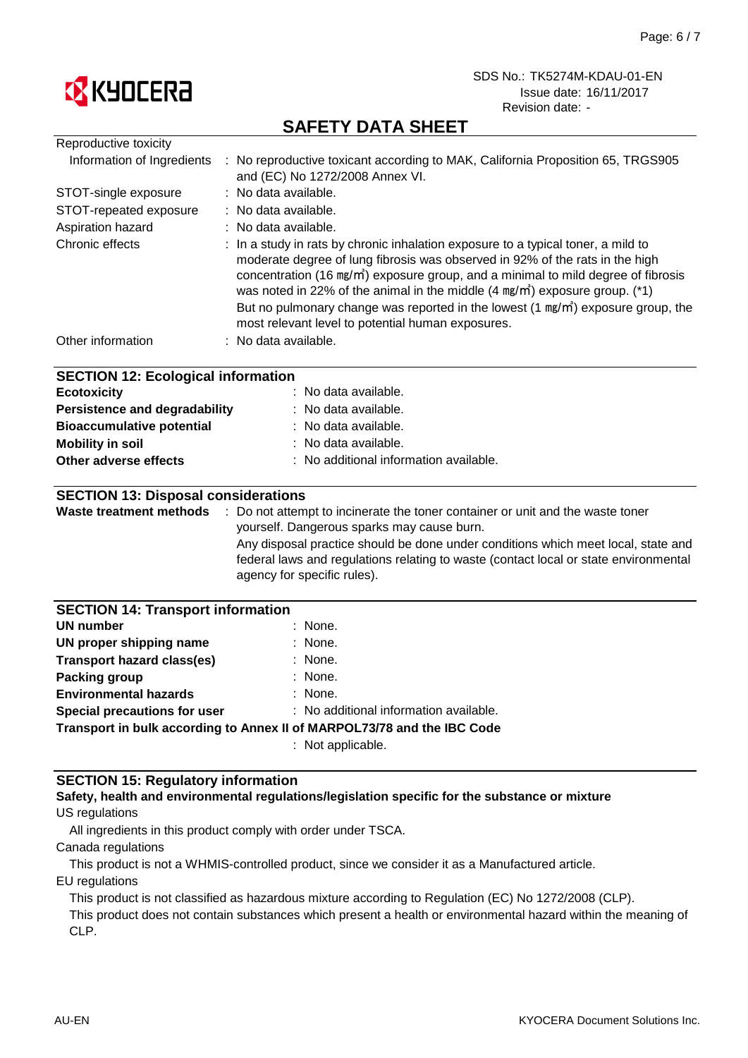

# **SAFETY DATA SHEET**

| : No reproductive toxicant according to MAK, California Proposition 65, TRGS905<br>and (EC) No 1272/2008 Annex VI.                                                                                                                                                                                                                                                                                                                                                                                                  |  |  |  |
|---------------------------------------------------------------------------------------------------------------------------------------------------------------------------------------------------------------------------------------------------------------------------------------------------------------------------------------------------------------------------------------------------------------------------------------------------------------------------------------------------------------------|--|--|--|
| : No data available.                                                                                                                                                                                                                                                                                                                                                                                                                                                                                                |  |  |  |
| No data available.                                                                                                                                                                                                                                                                                                                                                                                                                                                                                                  |  |  |  |
| : No data available.                                                                                                                                                                                                                                                                                                                                                                                                                                                                                                |  |  |  |
| : In a study in rats by chronic inhalation exposure to a typical toner, a mild to<br>moderate degree of lung fibrosis was observed in 92% of the rats in the high<br>concentration (16 mg/m <sup>2</sup> ) exposure group, and a minimal to mild degree of fibrosis<br>was noted in 22% of the animal in the middle $(4 \text{ mg/m}^3)$ exposure group. (*1)<br>But no pulmonary change was reported in the lowest (1 mg/m <sup>3</sup> ) exposure group, the<br>most relevant level to potential human exposures. |  |  |  |
| : No data available.                                                                                                                                                                                                                                                                                                                                                                                                                                                                                                |  |  |  |
| <b>SECTION 12: Ecological information</b><br>No data available.<br>No data available.<br>Persistence and degradability<br>No data available.<br>No data available.<br>No additional information available.<br><b>SECTION 13: Disposal considerations</b>                                                                                                                                                                                                                                                            |  |  |  |
| : Do not attempt to incinerate the toner container or unit and the waste toner                                                                                                                                                                                                                                                                                                                                                                                                                                      |  |  |  |
| yourself. Dangerous sparks may cause burn.                                                                                                                                                                                                                                                                                                                                                                                                                                                                          |  |  |  |
| Any disposal practice should be done under conditions which meet local, state and<br>federal laws and regulations relating to waste (contact local or state environmental<br>agency for specific rules).                                                                                                                                                                                                                                                                                                            |  |  |  |
| <b>SECTION 14: Transport information</b>                                                                                                                                                                                                                                                                                                                                                                                                                                                                            |  |  |  |
| None.                                                                                                                                                                                                                                                                                                                                                                                                                                                                                                               |  |  |  |
| None.                                                                                                                                                                                                                                                                                                                                                                                                                                                                                                               |  |  |  |
| None.                                                                                                                                                                                                                                                                                                                                                                                                                                                                                                               |  |  |  |
| None.                                                                                                                                                                                                                                                                                                                                                                                                                                                                                                               |  |  |  |
| None.                                                                                                                                                                                                                                                                                                                                                                                                                                                                                                               |  |  |  |
| : No additional information available.<br><b>Special precautions for user</b>                                                                                                                                                                                                                                                                                                                                                                                                                                       |  |  |  |
| Transport in bulk according to Annex II of MARPOL73/78 and the IBC Code                                                                                                                                                                                                                                                                                                                                                                                                                                             |  |  |  |
|                                                                                                                                                                                                                                                                                                                                                                                                                                                                                                                     |  |  |  |

: Not applicable.

### **SECTION 15: Regulatory information**

#### US regulations **Safety, health and environmental regulations/legislation specific for the substance or mixture**

All ingredients in this product comply with order under TSCA.

Canada regulations

This product is not a WHMIS-controlled product, since we consider it as a Manufactured article.

EU regulations

This product is not classified as hazardous mixture according to Regulation (EC) No 1272/2008 (CLP).

This product does not contain substances which present a health or environmental hazard within the meaning of CLP.